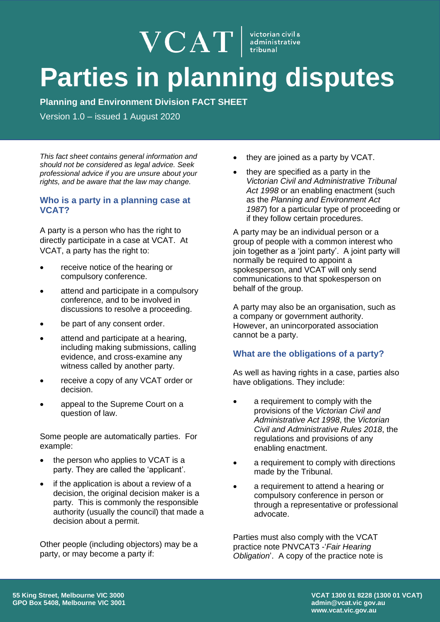# $\mathbf{VCAT}$  istorian civil a dministrative **Parties in planning disputes**

**Planning and Environment Division FACT SHEET**

Version 1.0 – issued 1 August 2020

*This fact sheet contains general information and should not be considered as legal advice. Seek professional advice if you are unsure about your rights, and be aware that the law may change.* 

## **Who is a party in a planning case at VCAT?**

A party is a person who has the right to directly participate in a case at VCAT. At VCAT, a party has the right to:

- receive notice of the hearing or compulsory conference.
- attend and participate in a compulsory conference, and to be involved in discussions to resolve a proceeding.
- be part of any consent order.
- attend and participate at a hearing, including making submissions, calling evidence, and cross-examine any witness called by another party.
- receive a copy of any VCAT order or decision.
- appeal to the Supreme Court on a question of law.

Some people are automatically parties. For example:

- the person who applies to VCAT is a party. They are called the 'applicant'.
- if the application is about a review of a decision, the original decision maker is a party. This is commonly the responsible authority (usually the council) that made a decision about a permit.

Other people (including objectors) may be a party, or may become a party if:

- they are joined as a party by VCAT.
- they are specified as a party in the *Victorian Civil and Administrative Tribunal Act 1998* or an enabling enactment (such as the *Planning and Environment Act 1987*) for a particular type of proceeding or if they follow certain procedures.

A party may be an individual person or a group of people with a common interest who join together as a 'joint party'. A joint party will normally be required to appoint a spokesperson, and VCAT will only send communications to that spokesperson on behalf of the group.

A party may also be an organisation, such as a company or government authority. However, an unincorporated association cannot be a party.

# **What are the obligations of a party?**

As well as having rights in a case, parties also have obligations. They include:

- a requirement to comply with the provisions of the *Victorian Civil and Administrative Act 1998*, the *Victorian Civil and Administrative Rules 2018*, the regulations and provisions of any enabling enactment.
- a requirement to comply with directions made by the Tribunal.
- a requirement to attend a hearing or compulsory conference in person or through a representative or professional advocate.

Parties must also comply with the VCAT practice note PNVCAT3 -'*Fair Hearing Obligation*'. A copy of the practice note is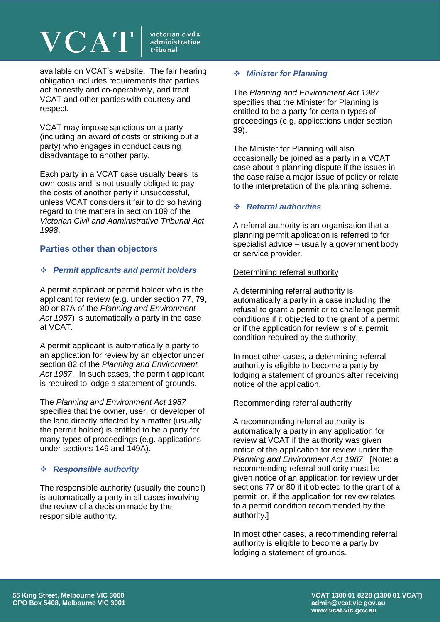# **VCAT**

victorian civil & administrative tribunal

available on VCAT's website. The fair hearing obligation includes requirements that parties act honestly and co-operatively, and treat VCAT and other parties with courtesy and respect.

VCAT may impose sanctions on a party (including an award of costs or striking out a party) who engages in conduct causing disadvantage to another party.

Each party in a VCAT case usually bears its own costs and is not usually obliged to pay the costs of another party if unsuccessful, unless VCAT considers it fair to do so having regard to the matters in section 109 of the *Victorian Civil and Administrative Tribunal Act 1998*.

## **Parties other than objectors**

### ❖ *Permit applicants and permit holders*

A permit applicant or permit holder who is the applicant for review (e.g. under section 77, 79, 80 or 87A of the *Planning and Environment Act 1987*) is automatically a party in the case at VCAT.

A permit applicant is automatically a party to an application for review by an objector under section 82 of the *Planning and Environment Act 1987*. In such cases, the permit applicant is required to lodge a statement of grounds.

The *Planning and Environment Act 1987* specifies that the owner, user, or developer of the land directly affected by a matter (usually the permit holder) is entitled to be a party for many types of proceedings (e.g. applications under sections 149 and 149A).

## ❖ *Responsible authority*

The responsible authority (usually the council) is automatically a party in all cases involving the review of a decision made by the responsible authority.

### ❖ *Minister for Planning*

The *Planning and Environment Act 1987* specifies that the Minister for Planning is entitled to be a party for certain types of proceedings (e.g. applications under section 39).

The Minister for Planning will also occasionally be joined as a party in a VCAT case about a planning dispute if the issues in the case raise a major issue of policy or relate to the interpretation of the planning scheme.

## ❖ *Referral authorities*

A referral authority is an organisation that a planning permit application is referred to for specialist advice – usually a government body or service provider.

#### Determining referral authority

A determining referral authority is automatically a party in a case including the refusal to grant a permit or to challenge permit conditions if it objected to the grant of a permit or if the application for review is of a permit condition required by the authority.

In most other cases, a determining referral authority is eligible to become a party by lodging a statement of grounds after receiving notice of the application.

#### Recommending referral authority

A recommending referral authority is automatically a party in any application for review at VCAT if the authority was given notice of the application for review under the *Planning and Environment Act 1987*. [Note: a recommending referral authority must be given notice of an application for review under sections 77 or 80 if it objected to the grant of a permit; or, if the application for review relates to a permit condition recommended by the authority.]

In most other cases, a recommending referral authority is eligible to become a party by lodging a statement of grounds.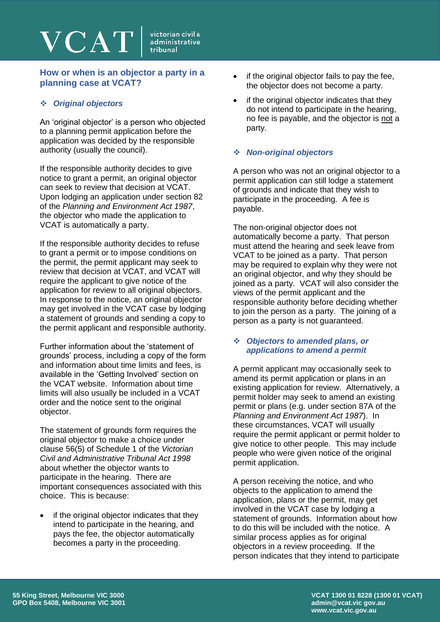## **How or when is an objector a party in a planning case at VCAT?**

## ❖ *Original objectors*

An 'original objector' is a person who objected to a planning permit application before the application was decided by the responsible authority (usually the council).

If the responsible authority decides to give notice to grant a permit, an original objector can seek to review that decision at VCAT. Upon lodging an application under section 82 of the *Planning and Environment Act 1987*, the objector who made the application to VCAT is automatically a party.

If the responsible authority decides to refuse to grant a permit or to impose conditions on the permit, the permit applicant may seek to review that decision at VCAT, and VCAT will require the applicant to give notice of the application for review to all original objectors. In response to the notice, an original objector may get involved in the VCAT case by lodging a statement of grounds and sending a copy to the permit applicant and responsible authority.

Further information about the 'statement of grounds' process, including a copy of the form and information about time limits and fees, is available in the 'Getting Involved' section on the VCAT website. Information about time limits will also usually be included in a VCAT order and the notice sent to the original objector.

The statement of grounds form requires the original objector to make a choice under clause 56(5) of Schedule 1 of the *Victorian Civil and Administrative Tribunal Act 1998* about whether the objector wants to participate in the hearing. There are important consequences associated with this choice. This is because:

if the original objector indicates that they intend to participate in the hearing, and pays the fee, the objector automatically becomes a party in the proceeding.

- if the original objector fails to pay the fee, the objector does not become a party.
- if the original objector indicates that they do not intend to participate in the hearing, no fee is payable, and the objector is not a party.

#### ❖ *Non-original objectors*

A person who was not an original objector to a permit application can still lodge a statement of grounds and indicate that they wish to participate in the proceeding. A fee is payable.

The non-original objector does not automatically become a party. That person must attend the hearing and seek leave from VCAT to be joined as a party. That person may be required to explain why they were not an original objector, and why they should be joined as a party. VCAT will also consider the views of the permit applicant and the responsible authority before deciding whether to join the person as a party. The joining of a person as a party is not guaranteed.

#### ❖ *Objectors to amended plans, or applications to amend a permit*

A permit applicant may occasionally seek to amend its permit application or plans in an existing application for review. Alternatively, a permit holder may seek to amend an existing permit or plans (e.g. under section 87A of the *Planning and Environment Act 1987*). In these circumstances, VCAT will usually require the permit applicant or permit holder to give notice to other people. This may include people who were given notice of the original permit application.

A person receiving the notice, and who objects to the application to amend the application, plans or the permit, may get involved in the VCAT case by lodging a statement of grounds. Information about how to do this will be included with the notice. A similar process applies as for original objectors in a review proceeding. If the person indicates that they intend to participate